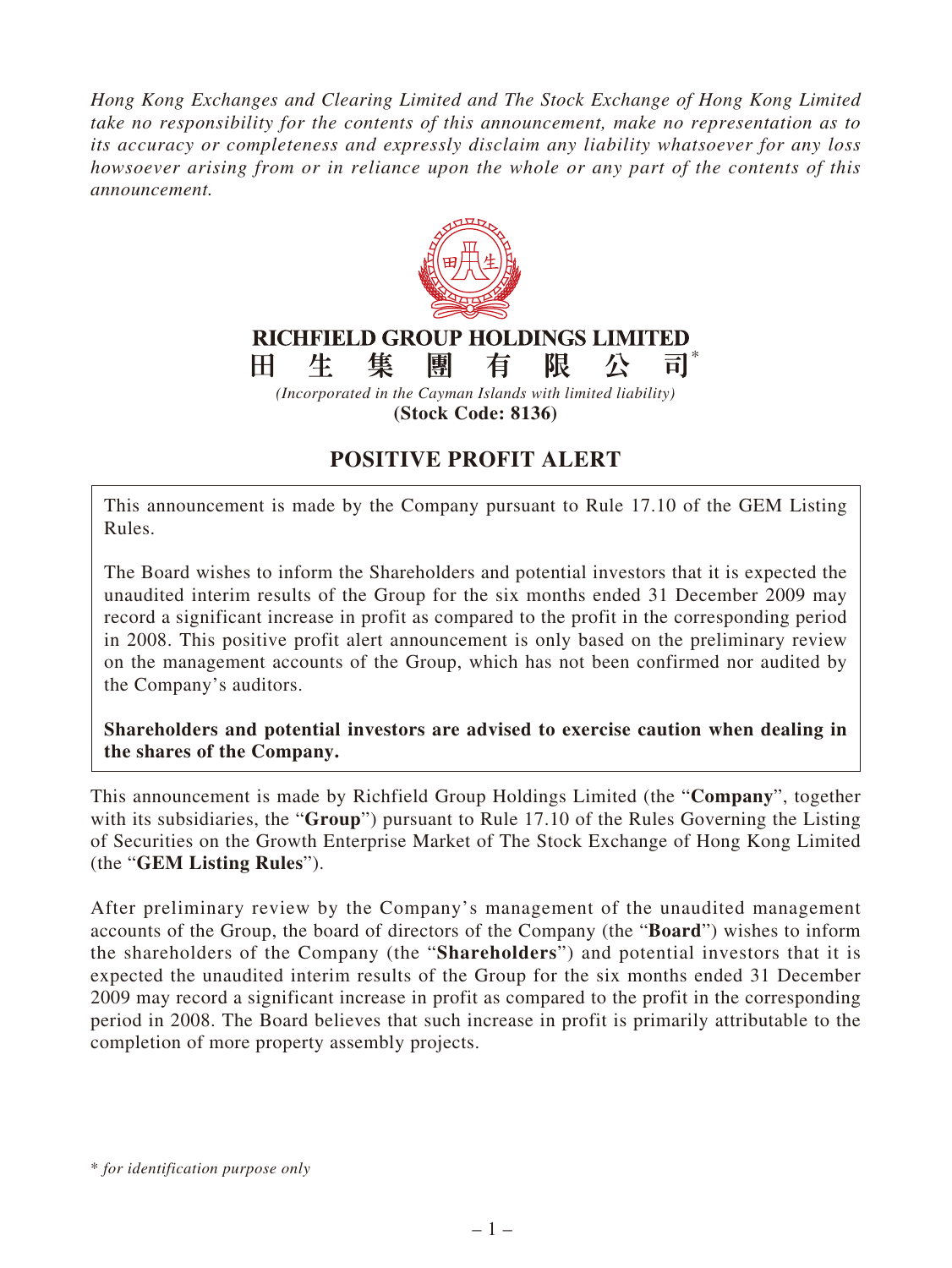*Hong Kong Exchanges and Clearing Limited and The Stock Exchange of Hong Kong Limited take no responsibility for the contents of this announcement, make no representation as to its accuracy or completeness and expressly disclaim any liability whatsoever for any loss howsoever arising from or in reliance upon the whole or any part of the contents of this announcement.*



## **POSITIVE PROFIT ALERT**

This announcement is made by the Company pursuant to Rule 17.10 of the GEM Listing Rules.

The Board wishes to inform the Shareholders and potential investors that it is expected the unaudited interim results of the Group for the six months ended 31 December 2009 may record a significant increase in profit as compared to the profit in the corresponding period in 2008. This positive profit alert announcement is only based on the preliminary review on the management accounts of the Group, which has not been confirmed nor audited by the Company's auditors.

**Shareholders and potential investors are advised to exercise caution when dealing in the shares of the Company.**

This announcement is made by Richfield Group Holdings Limited (the "**Company**", together with its subsidiaries, the "**Group**") pursuant to Rule 17.10 of the Rules Governing the Listing of Securities on the Growth Enterprise Market of The Stock Exchange of Hong Kong Limited (the "**GEM Listing Rules**").

After preliminary review by the Company's management of the unaudited management accounts of the Group, the board of directors of the Company (the "**Board**") wishes to inform the shareholders of the Company (the "**Shareholders**") and potential investors that it is expected the unaudited interim results of the Group for the six months ended 31 December 2009 may record a significant increase in profit as compared to the profit in the corresponding period in 2008. The Board believes that such increase in profit is primarily attributable to the completion of more property assembly projects.

<sup>\*</sup> *for identification purpose only*